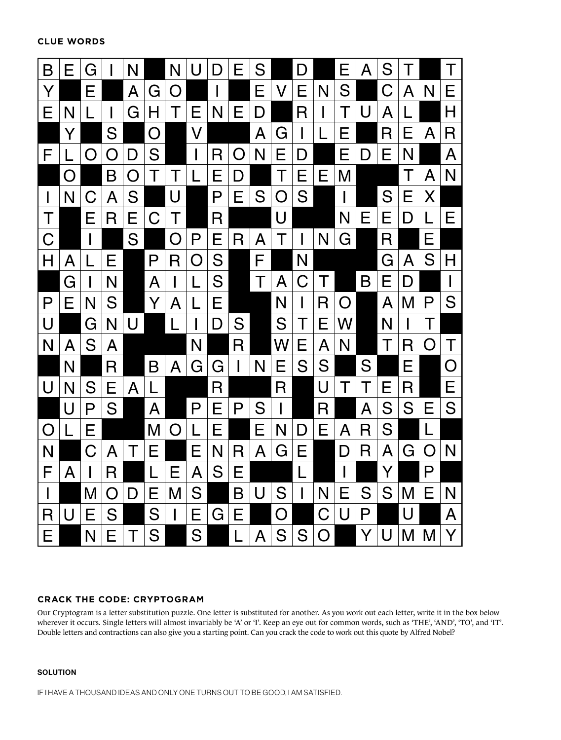**CLUE WORDS**



## **CRACK THE CODE: CRYPTOGRAM**

Our Cryptogram is a letter substitution puzzle. One letter is substituted for another. As you work out each letter, write it in the box below wherever it occurs. Single letters will almost invariably be 'A' or 'I'. Keep an eye out for common words, such as 'THE', 'AND', 'TO', and 'IT'. Double letters and contractions can also give you a starting point. Can you crack the code to work out this quote by Alfred Nobel?

## **SOLUTION**

IF I HAVE A THOUSAND IDEAS AND ONLY ONE TURNS OUT TO BE GOOD, I AM SATISFIED.